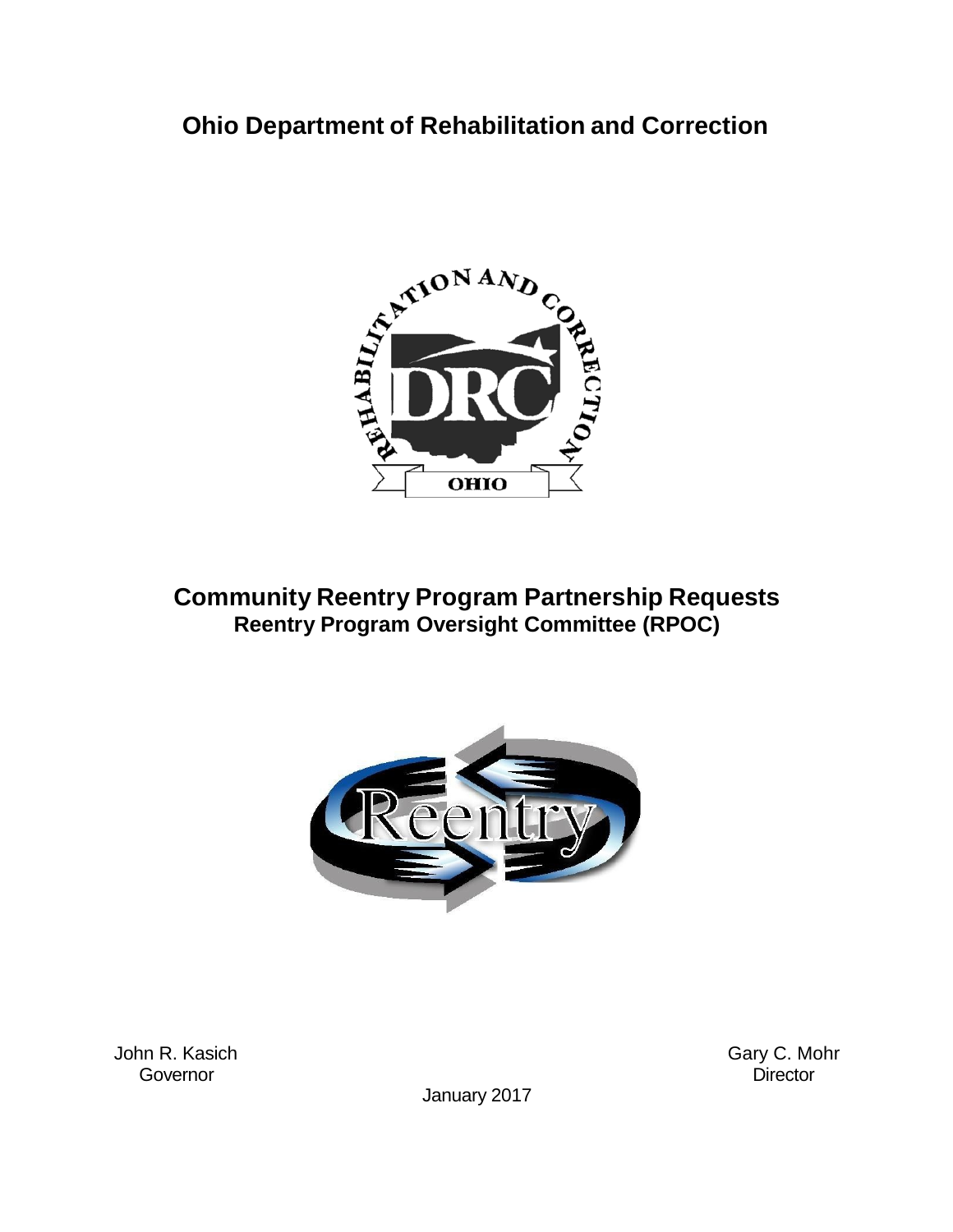# **Ohio Department of Rehabilitation and Correction**



# **Community Reentry Program Partnership Requests Reentry Program Oversight Committee (RPOC)**



John R. Kasich Gary C. Mohr<br>Gary C. Mohr Governor Governor **Director** 

January 2017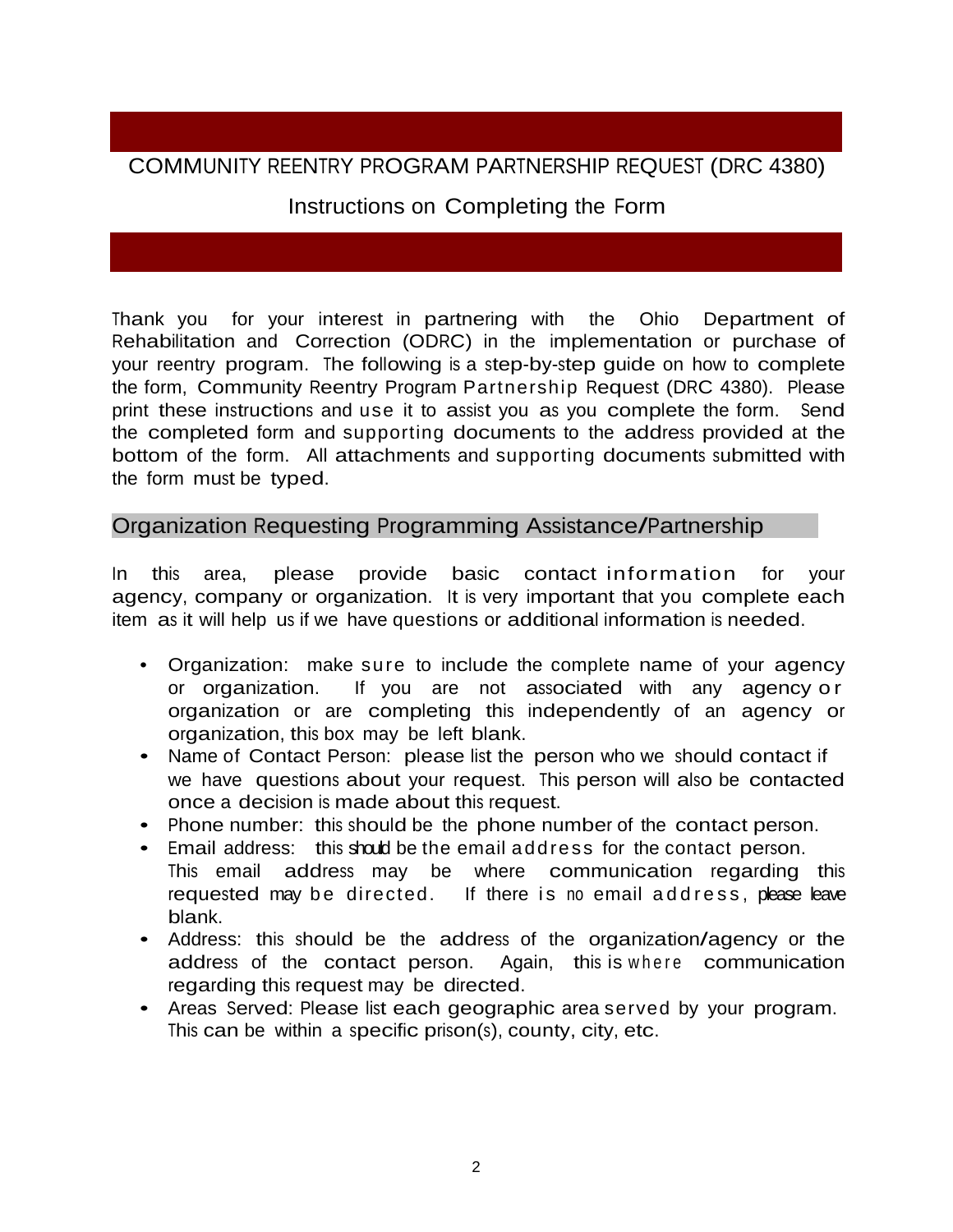## COMMUNITY REENTRY PROGRAM PARTNERSHIP REQUEST (DRC 4380)

#### Instructions on Completing the Form

Thank you for your interest in partnering with the Ohio Department of Rehabilitation and Correction (ODRC) in the implementation or purchase of your reentry program. The following is a step-by-step guide on how to complete the form, Community Reentry Program Partnership Request (DRC 4380). Please print these instructions and use it to assist you as you complete the form. Send the completed form and supporting documents to the address provided at the bottom of the form. All attachments and supporting documents submitted with the form must be typed.

#### Organization Requesting Programming Assistance/Partnership

In this area, please provide basic contact information for your agency, company or organization. It is very important that you complete each item as it will help us if we have questions or additional information is needed.

- Organization: make sure to include the complete name of your agency or organization. If you are not associated with any agency or organization or are completing this independently of an agency or organization, this box may be left blank.
- Name of Contact Person: please list the person who we should contact if we have questions about your request. This person will also be contacted once a decision is made about this request.
- Phone number: this should be the phone number of the contact person.
- Email address: this should be the email address for the contact person. This email address may be where communication regarding this requested may be directed. If there is no email address, please leave blank.
- Address: this should be the address of the organization/agency or the address of the contact person. Again, this is where communication regarding this request may be directed.
- Areas Served: Please list each geographic area served by your program. This can be within a specific prison(s), county, city, etc.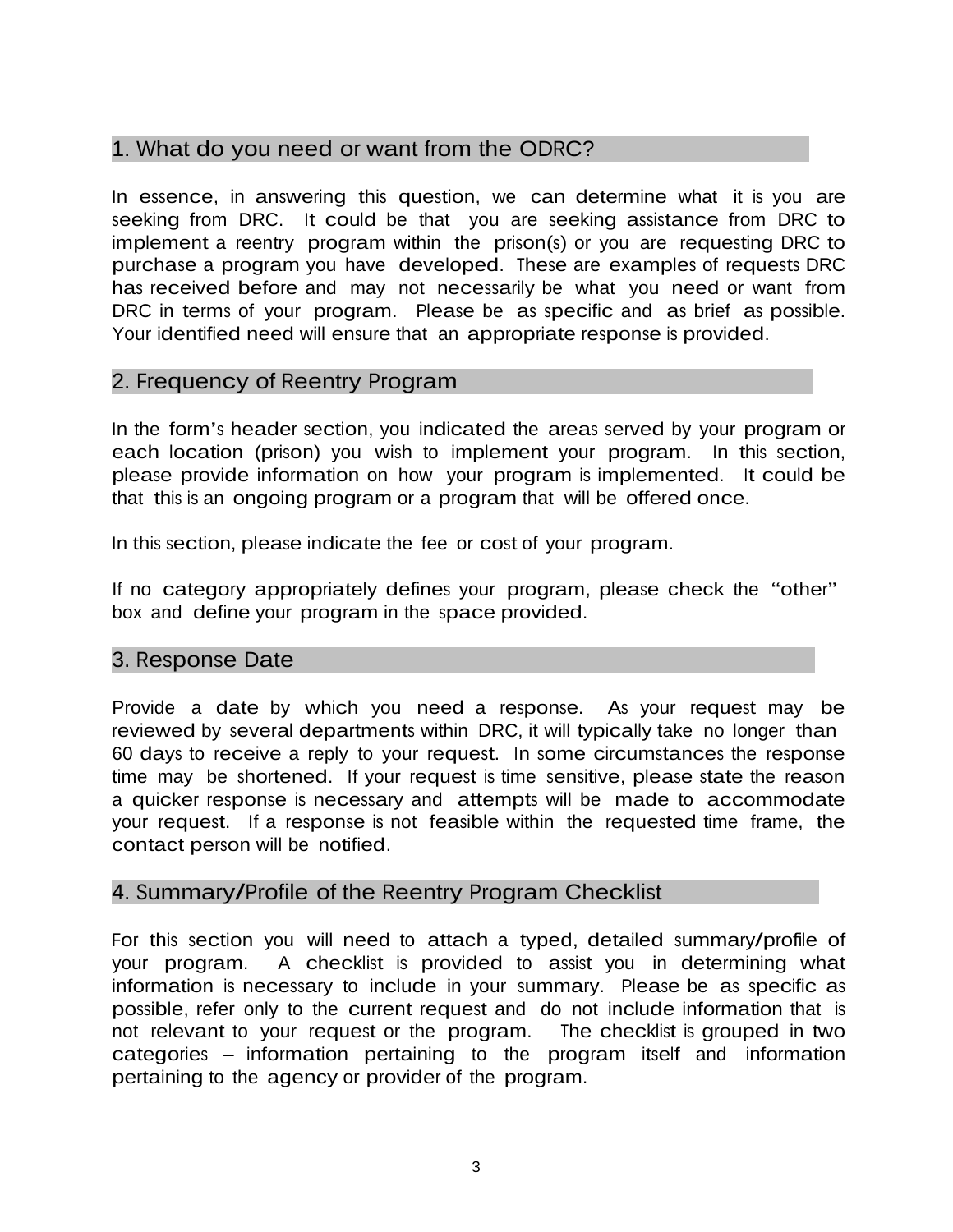## 1. What do you need or want from the ODRC?

In essence, in answering this question, we can determine what it is you are seeking from DRC. It could be that you are seeking assistance from DRC to implement a reentry program within the prison(s) or you are requesting DRC to purchase a program you have developed. These are examples of requests DRC has received before and may not necessarily be what you need or want from DRC in terms of your program. Please be as specific and as brief as possible. Your identified need will ensure that an appropriate response is provided.

#### 2. Frequency of Reentry Program

In the form's header section, you indicated the areas served by your program or each location (prison) you wish to implement your program. In this section, please provide information on how your program is implemented. It could be that this is an ongoing program or a program that will be offered once.

In this section, please indicate the fee or cost of your program.

If no category appropriately defines your program, please check the "other" box and define your program in the space provided.

### 3. Response Date

Provide a date by which you need a response. As your request may be reviewed by several departments within DRC, it will typically take no longer than 60 days to receive a reply to your request. In some circumstances the response time may be shortened. If your request is time sensitive, please state the reason a quicker response is necessary and attempts will be made to accommodate your request. If a response is not feasible within the requested time frame, the contact person will be notified.

### 4. Summary/Profile of the Reentry Program Checklist

For this section you will need to attach a typed, detailed summary/profile of your program. A checklist is provided to assist you in determining what information is necessary to include in your summary. Please be as specific as possible, refer only to the current request and do not include information that is not relevant to your request or the program. The checklist is grouped in two categories – information pertaining to the program itself and information pertaining to the agency or provider of the program.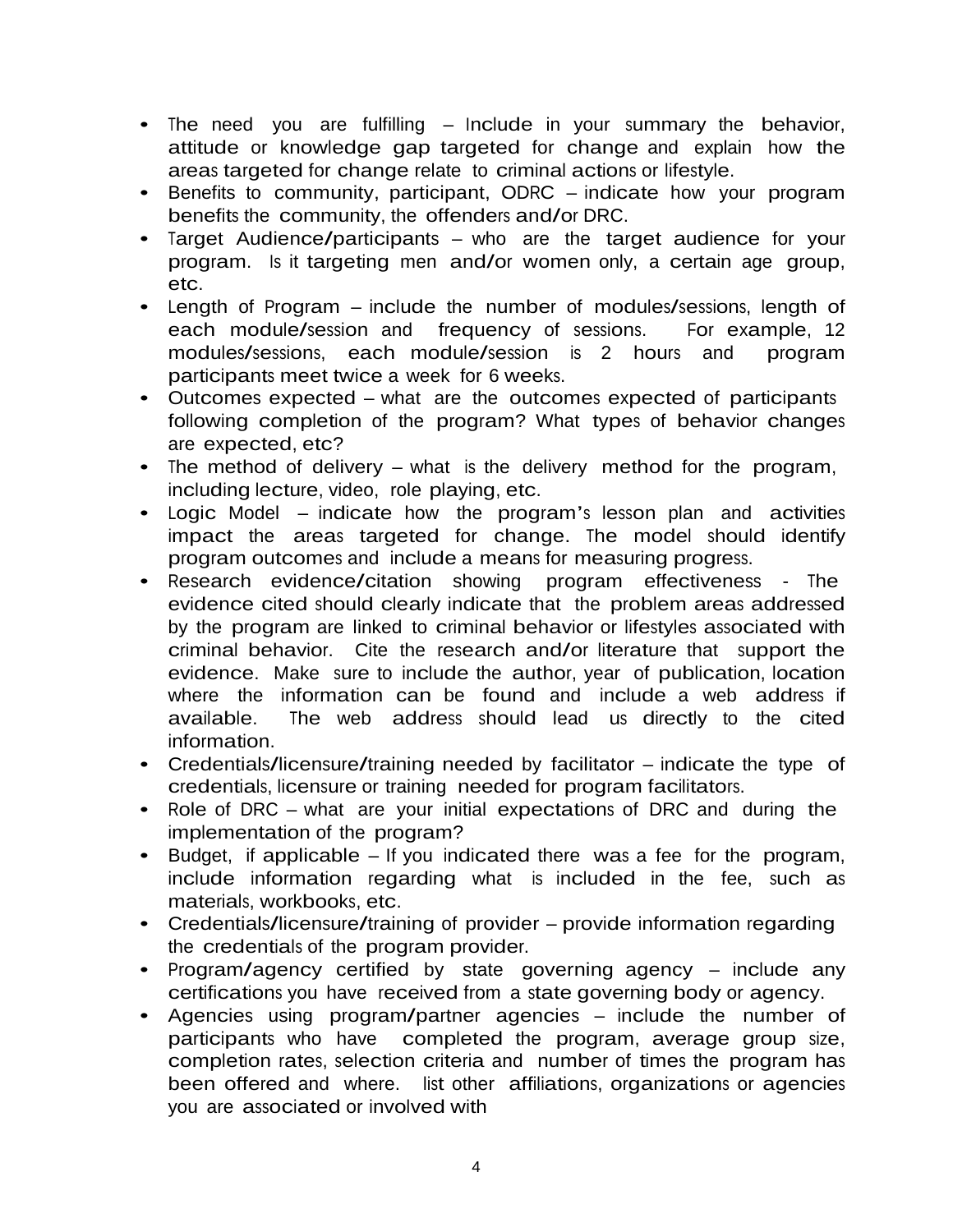- The need you are fulfilling Include in your summary the behavior, attitude or knowledge gap targeted for change and explain how the areas targeted for change relate to criminal actions or lifestyle.
- Benefits to community, participant, ODRC indicate how your program benefits the community, the offenders and/or DRC.
- Target Audience/participants who are the target audience for your program. Is it targeting men and/or women only, a certain age group, etc.
- Length of Program include the number of modules/sessions, length of each module/session and frequency of sessions. For example, <sup>12</sup> modules/sessions, each module/session is 2 hours and program participants meet twice a week for 6 weeks.
- Outcomes expected what are the outcomes expected of participants following completion of the program? What types of behavior changes are expected, etc?
- The method of delivery what is the delivery method for the program, including lecture, video, role playing, etc.
- Logic Model indicate how the program's lesson plan and activities impact the areas targeted for change. The model should identify program outcomes and include a means for measuring progress.
- Research evidence/citation showing program effectiveness The evidence cited should clearly indicate that the problem areas addressed by the program are linked to criminal behavior or lifestyles associated with criminal behavior. Cite the research and/or literature that support the evidence. Make sure to include the author, year of publication, location where the information can be found and include a web address if available. The web address should lead us directly to the cited information.
- Credentials/licensure/training needed by facilitator indicate the type of credentials, licensure or training needed for program facilitators.
- Role of DRC what are your initial expectations of DRC and during the implementation of the program?
- Budget, if applicable If you indicated there was a fee for the program, include information regarding what is included in the fee, such as materials, workbooks, etc.
- Credentials/licensure/training of provider provide information regarding the credentials of the program provider.
- Program/agency certified by state governing agency include any certifications you have received from a state governing body or agency.
- Agencies using program/partner agencies include the number of participants who have completed the program, average group size, completion rates, selection criteria and number of times the program has been offered and where. list other affiliations, organizations or agencies you are associated or involved with